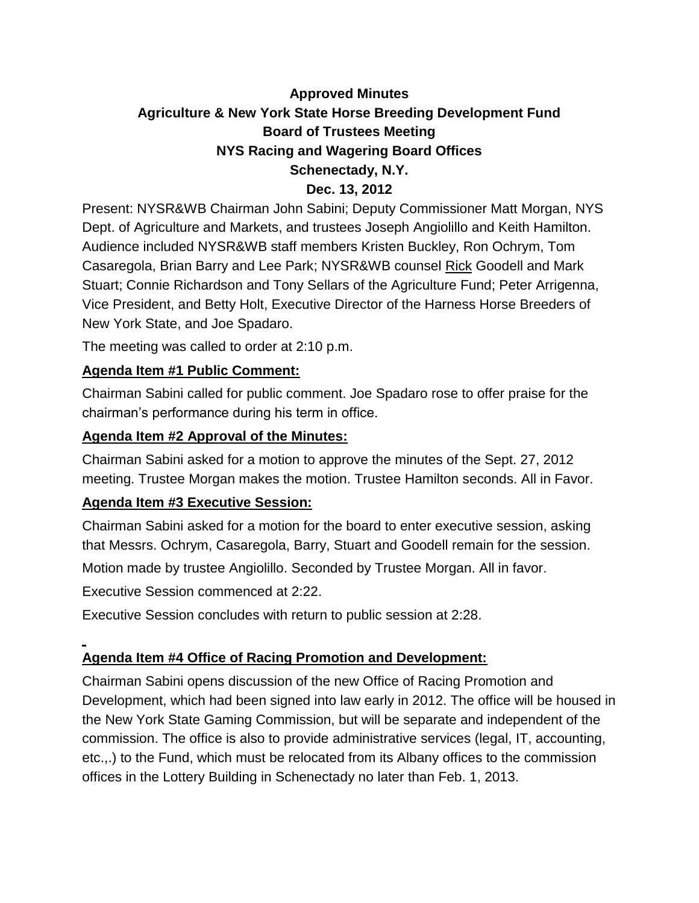# **Approved Minutes Agriculture & New York State Horse Breeding Development Fund Board of Trustees Meeting NYS Racing and Wagering Board Offices Schenectady, N.Y. Dec. 13, 2012**

Present: NYSR&WB Chairman John Sabini; Deputy Commissioner Matt Morgan, NYS Dept. of Agriculture and Markets, and trustees Joseph Angiolillo and Keith Hamilton. Audience included NYSR&WB staff members Kristen Buckley, Ron Ochrym, Tom Casaregola, Brian Barry and Lee Park; NYSR&WB counsel Rick Goodell and Mark Stuart; Connie Richardson and Tony Sellars of the Agriculture Fund; Peter Arrigenna, Vice President, and Betty Holt, Executive Director of the Harness Horse Breeders of New York State, and Joe Spadaro.

The meeting was called to order at 2:10 p.m.

#### **Agenda Item #1 Public Comment:**

Chairman Sabini called for public comment. Joe Spadaro rose to offer praise for the chairman's performance during his term in office.

#### **Agenda Item #2 Approval of the Minutes:**

Chairman Sabini asked for a motion to approve the minutes of the Sept. 27, 2012 meeting. Trustee Morgan makes the motion. Trustee Hamilton seconds. All in Favor.

### **Agenda Item #3 Executive Session:**

Chairman Sabini asked for a motion for the board to enter executive session, asking that Messrs. Ochrym, Casaregola, Barry, Stuart and Goodell remain for the session.

Motion made by trustee Angiolillo. Seconded by Trustee Morgan. All in favor.

Executive Session commenced at 2:22.

Executive Session concludes with return to public session at 2:28.

### **Agenda Item #4 Office of Racing Promotion and Development:**

Chairman Sabini opens discussion of the new Office of Racing Promotion and Development, which had been signed into law early in 2012. The office will be housed in the New York State Gaming Commission, but will be separate and independent of the commission. The office is also to provide administrative services (legal, IT, accounting, etc.,.) to the Fund, which must be relocated from its Albany offices to the commission offices in the Lottery Building in Schenectady no later than Feb. 1, 2013.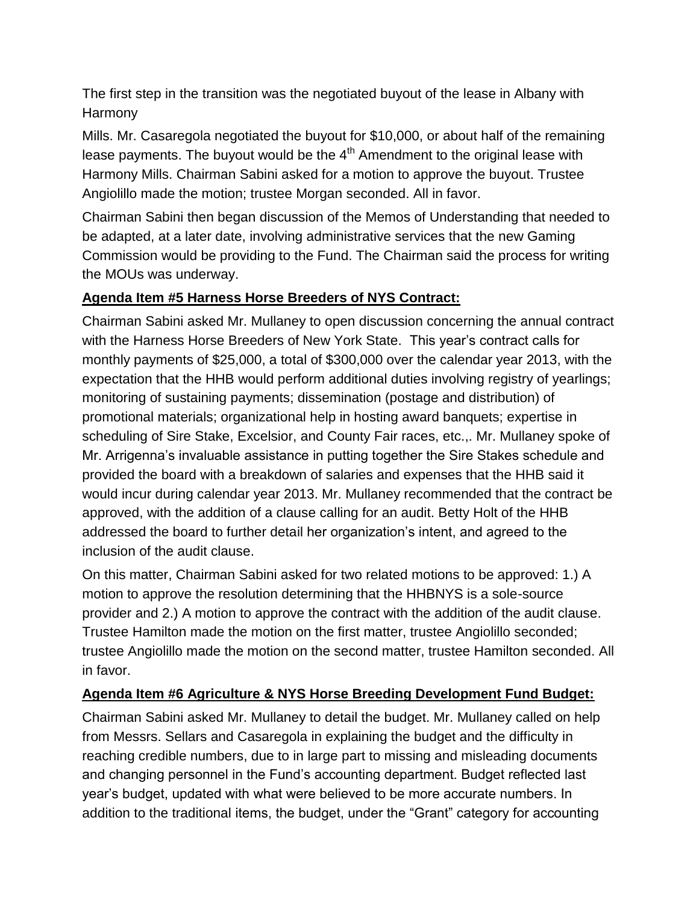The first step in the transition was the negotiated buyout of the lease in Albany with Harmony

Mills. Mr. Casaregola negotiated the buyout for \$10,000, or about half of the remaining lease payments. The buyout would be the  $4<sup>th</sup>$  Amendment to the original lease with Harmony Mills. Chairman Sabini asked for a motion to approve the buyout. Trustee Angiolillo made the motion; trustee Morgan seconded. All in favor.

Chairman Sabini then began discussion of the Memos of Understanding that needed to be adapted, at a later date, involving administrative services that the new Gaming Commission would be providing to the Fund. The Chairman said the process for writing the MOUs was underway.

### **Agenda Item #5 Harness Horse Breeders of NYS Contract:**

Chairman Sabini asked Mr. Mullaney to open discussion concerning the annual contract with the Harness Horse Breeders of New York State. This year's contract calls for monthly payments of \$25,000, a total of \$300,000 over the calendar year 2013, with the expectation that the HHB would perform additional duties involving registry of yearlings; monitoring of sustaining payments; dissemination (postage and distribution) of promotional materials; organizational help in hosting award banquets; expertise in scheduling of Sire Stake, Excelsior, and County Fair races, etc.,. Mr. Mullaney spoke of Mr. Arrigenna's invaluable assistance in putting together the Sire Stakes schedule and provided the board with a breakdown of salaries and expenses that the HHB said it would incur during calendar year 2013. Mr. Mullaney recommended that the contract be approved, with the addition of a clause calling for an audit. Betty Holt of the HHB addressed the board to further detail her organization's intent, and agreed to the inclusion of the audit clause.

On this matter, Chairman Sabini asked for two related motions to be approved: 1.) A motion to approve the resolution determining that the HHBNYS is a sole-source provider and 2.) A motion to approve the contract with the addition of the audit clause. Trustee Hamilton made the motion on the first matter, trustee Angiolillo seconded; trustee Angiolillo made the motion on the second matter, trustee Hamilton seconded. All in favor.

#### **Agenda Item #6 Agriculture & NYS Horse Breeding Development Fund Budget:**

Chairman Sabini asked Mr. Mullaney to detail the budget. Mr. Mullaney called on help from Messrs. Sellars and Casaregola in explaining the budget and the difficulty in reaching credible numbers, due to in large part to missing and misleading documents and changing personnel in the Fund's accounting department. Budget reflected last year's budget, updated with what were believed to be more accurate numbers. In addition to the traditional items, the budget, under the "Grant" category for accounting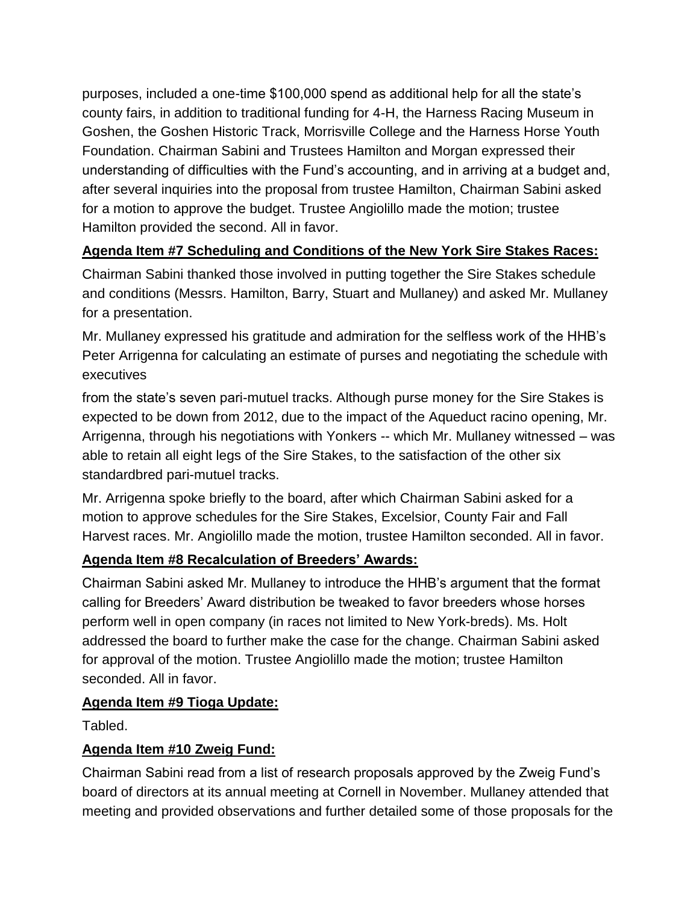purposes, included a one-time \$100,000 spend as additional help for all the state's county fairs, in addition to traditional funding for 4-H, the Harness Racing Museum in Goshen, the Goshen Historic Track, Morrisville College and the Harness Horse Youth Foundation. Chairman Sabini and Trustees Hamilton and Morgan expressed their understanding of difficulties with the Fund's accounting, and in arriving at a budget and, after several inquiries into the proposal from trustee Hamilton, Chairman Sabini asked for a motion to approve the budget. Trustee Angiolillo made the motion; trustee Hamilton provided the second. All in favor.

## **Agenda Item #7 Scheduling and Conditions of the New York Sire Stakes Races:**

Chairman Sabini thanked those involved in putting together the Sire Stakes schedule and conditions (Messrs. Hamilton, Barry, Stuart and Mullaney) and asked Mr. Mullaney for a presentation.

Mr. Mullaney expressed his gratitude and admiration for the selfless work of the HHB's Peter Arrigenna for calculating an estimate of purses and negotiating the schedule with executives

from the state's seven pari-mutuel tracks. Although purse money for the Sire Stakes is expected to be down from 2012, due to the impact of the Aqueduct racino opening, Mr. Arrigenna, through his negotiations with Yonkers -- which Mr. Mullaney witnessed – was able to retain all eight legs of the Sire Stakes, to the satisfaction of the other six standardbred pari-mutuel tracks.

Mr. Arrigenna spoke briefly to the board, after which Chairman Sabini asked for a motion to approve schedules for the Sire Stakes, Excelsior, County Fair and Fall Harvest races. Mr. Angiolillo made the motion, trustee Hamilton seconded. All in favor.

## **Agenda Item #8 Recalculation of Breeders' Awards:**

Chairman Sabini asked Mr. Mullaney to introduce the HHB's argument that the format calling for Breeders' Award distribution be tweaked to favor breeders whose horses perform well in open company (in races not limited to New York-breds). Ms. Holt addressed the board to further make the case for the change. Chairman Sabini asked for approval of the motion. Trustee Angiolillo made the motion; trustee Hamilton seconded. All in favor.

### **Agenda Item #9 Tioga Update:**

Tabled.

## **Agenda Item #10 Zweig Fund:**

Chairman Sabini read from a list of research proposals approved by the Zweig Fund's board of directors at its annual meeting at Cornell in November. Mullaney attended that meeting and provided observations and further detailed some of those proposals for the